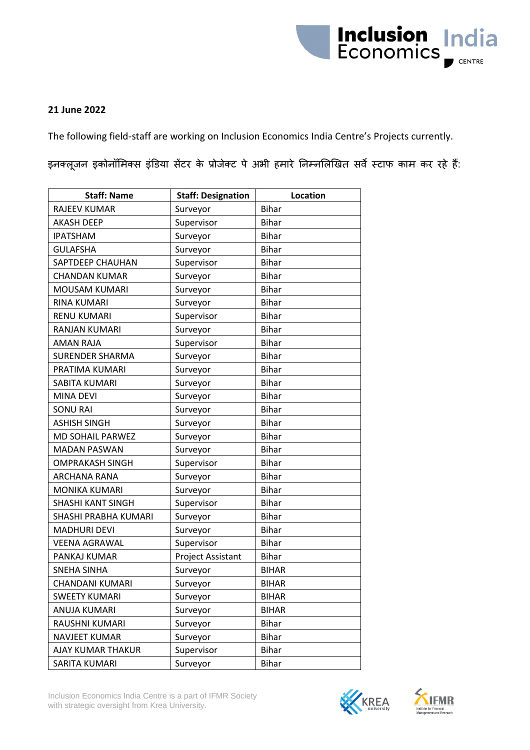

## **21 June 2022**

The following field-staff are working on Inclusion Economics India Centre's Projects currently.

इनक्लूजन इकोनॉमिक्स इंडिया सेंटर के प्रोजेक्ट पे अभी हमारे निम्नलिखित सर्वे स्टाफ काम कर रहे हैं:

| <b>Staff: Name</b>       | <b>Staff: Designation</b> | <b>Location</b> |
|--------------------------|---------------------------|-----------------|
| <b>RAJEEV KUMAR</b>      | Surveyor                  | <b>Bihar</b>    |
| <b>AKASH DEEP</b>        | Supervisor                | <b>Bihar</b>    |
| <b>IPATSHAM</b>          | Surveyor                  | <b>Bihar</b>    |
| <b>GULAFSHA</b>          | Surveyor                  | <b>Bihar</b>    |
| SAPTDEEP CHAUHAN         | Supervisor                | <b>Bihar</b>    |
| <b>CHANDAN KUMAR</b>     | Surveyor                  | <b>Bihar</b>    |
| MOUSAM KUMARI            | Surveyor                  | <b>Bihar</b>    |
| <b>RINA KUMARI</b>       | Surveyor                  | <b>Bihar</b>    |
| <b>RENU KUMARI</b>       | Supervisor                | <b>Bihar</b>    |
| <b>RANJAN KUMARI</b>     | Surveyor                  | <b>Bihar</b>    |
| <b>AMAN RAJA</b>         | Supervisor                | <b>Bihar</b>    |
| <b>SURENDER SHARMA</b>   | Surveyor                  | <b>Bihar</b>    |
| PRATIMA KUMARI           | Surveyor                  | <b>Bihar</b>    |
| SABITA KUMARI            | Surveyor                  | <b>Bihar</b>    |
| <b>MINA DEVI</b>         | Surveyor                  | <b>Bihar</b>    |
| <b>SONU RAI</b>          | Surveyor                  | <b>Bihar</b>    |
| <b>ASHISH SINGH</b>      | Surveyor                  | <b>Bihar</b>    |
| <b>MD SOHAIL PARWEZ</b>  | Surveyor                  | <b>Bihar</b>    |
| <b>MADAN PASWAN</b>      | Surveyor                  | <b>Bihar</b>    |
| <b>OMPRAKASH SINGH</b>   | Supervisor                | <b>Bihar</b>    |
| <b>ARCHANA RANA</b>      | Surveyor                  | <b>Bihar</b>    |
| <b>MONIKA KUMARI</b>     | Surveyor                  | <b>Bihar</b>    |
| <b>SHASHI KANT SINGH</b> | Supervisor                | <b>Bihar</b>    |
| SHASHI PRABHA KUMARI     | Surveyor                  | <b>Bihar</b>    |
| <b>MADHURI DEVI</b>      | Surveyor                  | <b>Bihar</b>    |
| <b>VEENA AGRAWAL</b>     | Supervisor                | <b>Bihar</b>    |
| PANKAJ KUMAR             | Project Assistant         | <b>Bihar</b>    |
| <b>SNEHA SINHA</b>       | Surveyor                  | <b>BIHAR</b>    |
| CHANDANI KUMARI          | Surveyor                  | <b>BIHAR</b>    |
| <b>SWEETY KUMARI</b>     | Surveyor                  | <b>BIHAR</b>    |
| ANUJA KUMARI             | Surveyor                  | <b>BIHAR</b>    |
| RAUSHNI KUMARI           | Surveyor                  | <b>Bihar</b>    |
| <b>NAVJEET KUMAR</b>     | Surveyor                  | <b>Bihar</b>    |
| AJAY KUMAR THAKUR        | Supervisor                | <b>Bihar</b>    |
| SARITA KUMARI            | Surveyor                  | <b>Bihar</b>    |



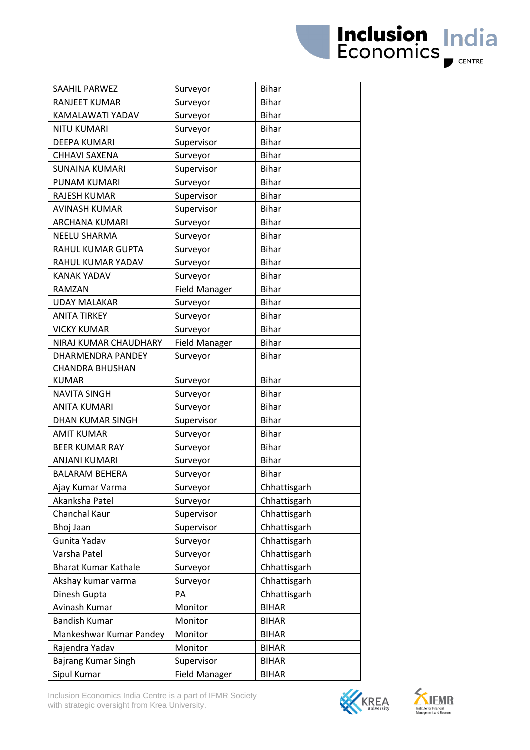| SAAHIL PARWEZ               | Surveyor             | <b>Bihar</b> |
|-----------------------------|----------------------|--------------|
| <b>RANJEET KUMAR</b>        | Surveyor             | <b>Bihar</b> |
| KAMALAWATI YADAV            | Surveyor             | <b>Bihar</b> |
| <b>NITU KUMARI</b>          | Surveyor             | <b>Bihar</b> |
| <b>DEEPA KUMARI</b>         | Supervisor           | <b>Bihar</b> |
| CHHAVI SAXENA               | Surveyor             | <b>Bihar</b> |
| <b>SUNAINA KUMARI</b>       | Supervisor           | <b>Bihar</b> |
| <b>PUNAM KUMARI</b>         | Surveyor             | <b>Bihar</b> |
| <b>RAJESH KUMAR</b>         | Supervisor           | <b>Bihar</b> |
| AVINASH KUMAR               | Supervisor           | <b>Bihar</b> |
| ARCHANA KUMARI              | Surveyor             | <b>Bihar</b> |
| <b>NEELU SHARMA</b>         | Surveyor             | <b>Bihar</b> |
| RAHUL KUMAR GUPTA           | Surveyor             | <b>Bihar</b> |
| RAHUL KUMAR YADAV           | Surveyor             | <b>Bihar</b> |
| <b>KANAK YADAV</b>          | Surveyor             | <b>Bihar</b> |
| RAMZAN                      | <b>Field Manager</b> | <b>Bihar</b> |
| <b>UDAY MALAKAR</b>         | Surveyor             | <b>Bihar</b> |
| <b>ANITA TIRKEY</b>         | Surveyor             | <b>Bihar</b> |
| <b>VICKY KUMAR</b>          | Surveyor             | <b>Bihar</b> |
| NIRAJ KUMAR CHAUDHARY       | <b>Field Manager</b> | <b>Bihar</b> |
| DHARMENDRA PANDEY           | Surveyor             | <b>Bihar</b> |
| <b>CHANDRA BHUSHAN</b>      |                      |              |
| <b>KUMAR</b>                | Surveyor             | <b>Bihar</b> |
| <b>NAVITA SINGH</b>         | Surveyor             | <b>Bihar</b> |
| <b>ANITA KUMARI</b>         | Surveyor             | <b>Bihar</b> |
| <b>DHAN KUMAR SINGH</b>     | Supervisor           | <b>Bihar</b> |
| <b>AMIT KUMAR</b>           | Surveyor             | <b>Bihar</b> |
| <b>BEER KUMAR RAY</b>       | Surveyor             | <b>Bihar</b> |
| <b>ANJANI KUMARI</b>        | Surveyor             | <b>Bihar</b> |
| <b>BALARAM BEHERA</b>       | Surveyor             | <b>Bihar</b> |
| Ajay Kumar Varma            | Surveyor             | Chhattisgarh |
| Akanksha Patel              | Surveyor             | Chhattisgarh |
| Chanchal Kaur               | Supervisor           | Chhattisgarh |
| Bhoj Jaan                   | Supervisor           | Chhattisgarh |
| Gunita Yadav                | Surveyor             | Chhattisgarh |
| Varsha Patel                | Surveyor             | Chhattisgarh |
| <b>Bharat Kumar Kathale</b> | Surveyor             | Chhattisgarh |
| Akshay kumar varma          | Surveyor             | Chhattisgarh |
| Dinesh Gupta                | PA                   | Chhattisgarh |
| Avinash Kumar               | Monitor              | <b>BIHAR</b> |
| <b>Bandish Kumar</b>        | Monitor              | <b>BIHAR</b> |
| Mankeshwar Kumar Pandey     | Monitor              | <b>BIHAR</b> |
| Rajendra Yadav              | Monitor              | <b>BIHAR</b> |
| Bajrang Kumar Singh         | Supervisor           | <b>BIHAR</b> |
| Sipul Kumar                 | <b>Field Manager</b> | <b>BIHAR</b> |

Inclusion Economics India Centre is a part of IFMR Society with strategic oversight from Krea University.





**Inclusion India**<br>Economics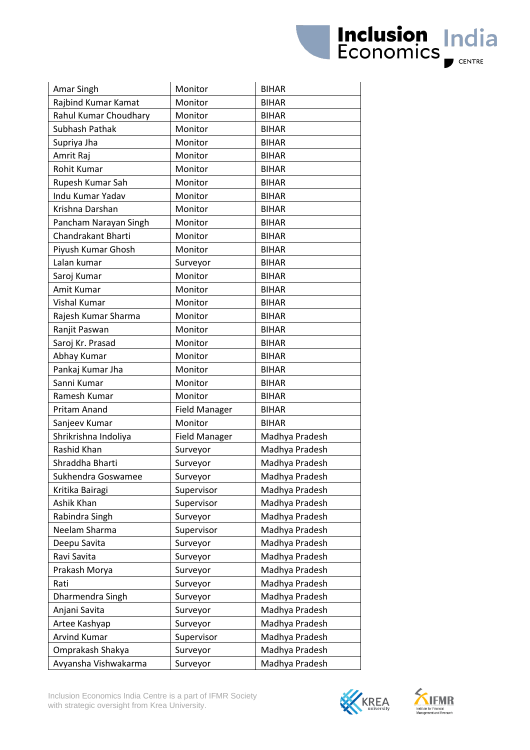| Amar Singh            | Monitor              | <b>BIHAR</b>   |
|-----------------------|----------------------|----------------|
| Rajbind Kumar Kamat   | Monitor              | <b>BIHAR</b>   |
| Rahul Kumar Choudhary | Monitor              | <b>BIHAR</b>   |
| Subhash Pathak        | Monitor              | <b>BIHAR</b>   |
| Supriya Jha           | Monitor              | <b>BIHAR</b>   |
| Amrit Raj             | Monitor              | <b>BIHAR</b>   |
| Rohit Kumar           | Monitor              | <b>BIHAR</b>   |
| Rupesh Kumar Sah      | Monitor              | <b>BIHAR</b>   |
| Indu Kumar Yadav      | Monitor              | <b>BIHAR</b>   |
| Krishna Darshan       | Monitor              | <b>BIHAR</b>   |
| Pancham Narayan Singh | Monitor              | <b>BIHAR</b>   |
| Chandrakant Bharti    | Monitor              | <b>BIHAR</b>   |
| Piyush Kumar Ghosh    | Monitor              | <b>BIHAR</b>   |
| Lalan kumar           | Surveyor             | <b>BIHAR</b>   |
| Saroj Kumar           | Monitor              | <b>BIHAR</b>   |
| Amit Kumar            | Monitor              | <b>BIHAR</b>   |
| Vishal Kumar          | Monitor              | <b>BIHAR</b>   |
| Rajesh Kumar Sharma   | Monitor              | <b>BIHAR</b>   |
| Ranjit Paswan         | Monitor              | <b>BIHAR</b>   |
| Saroj Kr. Prasad      | Monitor              | <b>BIHAR</b>   |
| Abhay Kumar           | Monitor              | <b>BIHAR</b>   |
| Pankaj Kumar Jha      | Monitor              | <b>BIHAR</b>   |
| Sanni Kumar           | Monitor              | <b>BIHAR</b>   |
| Ramesh Kumar          | Monitor              | <b>BIHAR</b>   |
| Pritam Anand          | <b>Field Manager</b> | <b>BIHAR</b>   |
| Sanjeev Kumar         | Monitor              | <b>BIHAR</b>   |
| Shrikrishna Indoliya  | <b>Field Manager</b> | Madhya Pradesh |
| Rashid Khan           | Surveyor             | Madhya Pradesh |
| Shraddha Bharti       | Surveyor             | Madhya Pradesh |
| Sukhendra Goswamee    | Surveyor             | Madhya Pradesh |
| Kritika Bairagi       | Supervisor           | Madhya Pradesh |
| Ashik Khan            | Supervisor           | Madhya Pradesh |
| Rabindra Singh        | Surveyor             | Madhya Pradesh |
| Neelam Sharma         | Supervisor           | Madhya Pradesh |
| Deepu Savita          | Surveyor             | Madhya Pradesh |
| Ravi Savita           | Surveyor             | Madhya Pradesh |
| Prakash Morya         | Surveyor             | Madhya Pradesh |
| Rati                  | Surveyor             | Madhya Pradesh |
| Dharmendra Singh      | Surveyor             | Madhya Pradesh |
| Anjani Savita         | Surveyor             | Madhya Pradesh |
| Artee Kashyap         | Surveyor             | Madhya Pradesh |
| Arvind Kumar          | Supervisor           | Madhya Pradesh |
| Omprakash Shakya      | Surveyor             | Madhya Pradesh |
| Avyansha Vishwakarma  | Surveyor             | Madhya Pradesh |





**Inclusion India**<br>Economics